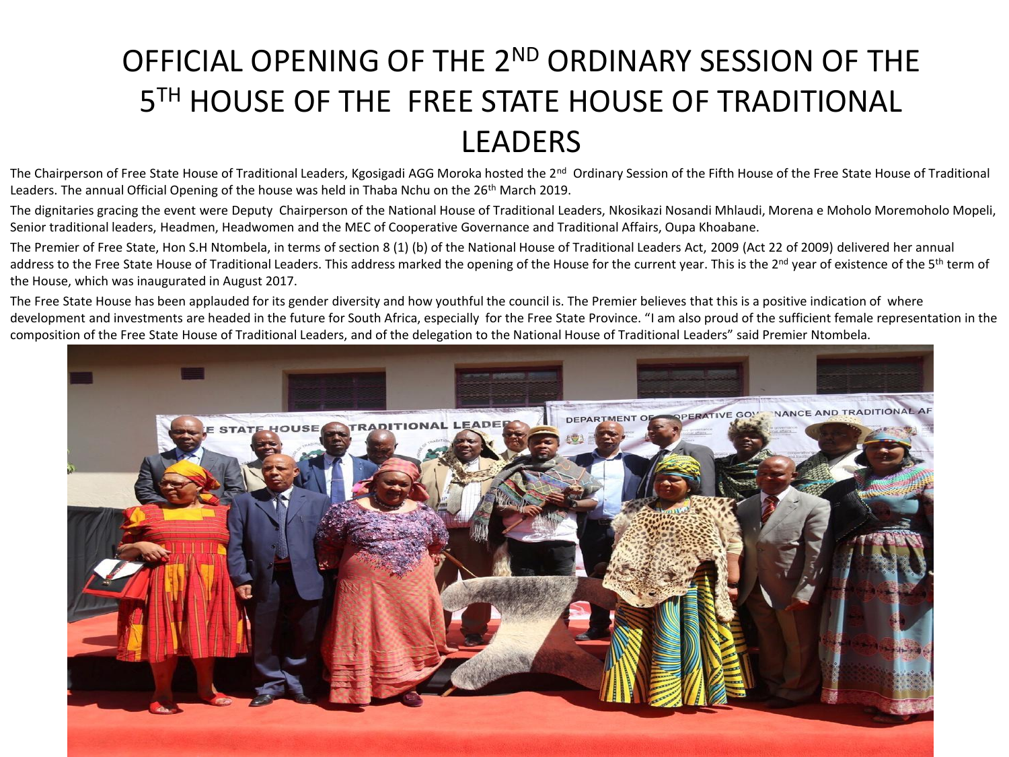## OFFICIAL OPENING OF THE 2<sup>ND</sup> ORDINARY SESSION OF THE 5TH HOUSE OF THE FREE STATE HOUSE OF TRADITIONAL LEADERS

The Chairperson of Free State House of Traditional Leaders, Kgosigadi AGG Moroka hosted the 2<sup>nd</sup> Ordinary Session of the Fifth House of the Free State House of Traditional Leaders. The annual Official Opening of the house was held in Thaba Nchu on the 26<sup>th</sup> March 2019.

The dignitaries gracing the event were Deputy Chairperson of the National House of Traditional Leaders, Nkosikazi Nosandi Mhlaudi, Morena e Moholo Moremoholo Mopeli, Senior traditional leaders, Headmen, Headwomen and the MEC of Cooperative Governance and Traditional Affairs, Oupa Khoabane.

The Premier of Free State, Hon S.H Ntombela, in terms of section 8 (1) (b) of the National House of Traditional Leaders Act, 2009 (Act 22 of 2009) delivered her annual address to the Free State House of Traditional Leaders. This address marked the opening of the House for the current year. This is the 2<sup>nd</sup> year of existence of the 5<sup>th</sup> term of the House, which was inaugurated in August 2017.

The Free State House has been applauded for its gender diversity and how youthful the council is. The Premier believes that this is a positive indication of where development and investments are headed in the future for South Africa, especially for the Free State Province. "I am also proud of the sufficient female representation in the composition of the Free State House of Traditional Leaders, and of the delegation to the National House of Traditional Leaders" said Premier Ntombela.